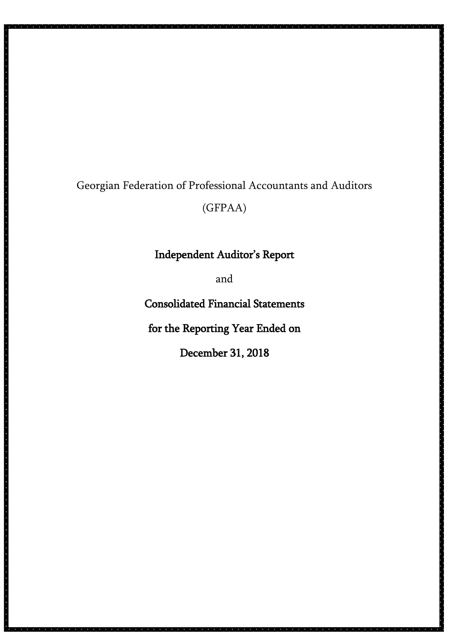# Georgian Federation of Professional Accountants and Auditors (GFPAA)

# Independent Auditor's Report

and

Consolidated Financial Statements

for the Reporting Year Ended on

December 31, 2018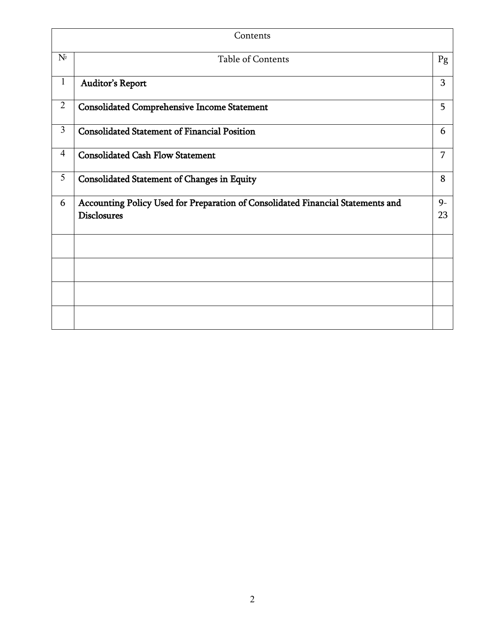|                                     | Contents                                                                                              |            |
|-------------------------------------|-------------------------------------------------------------------------------------------------------|------------|
| $N^{\! \scriptscriptstyle\text{D}}$ | <b>Table of Contents</b>                                                                              | Pg         |
| $\mathbf{1}$                        | <b>Auditor's Report</b>                                                                               | 3          |
| $\overline{2}$                      | <b>Consolidated Comprehensive Income Statement</b>                                                    | 5          |
| $\overline{3}$                      | <b>Consolidated Statement of Financial Position</b>                                                   | 6          |
| $\overline{4}$                      | <b>Consolidated Cash Flow Statement</b>                                                               | 7          |
| 5                                   | <b>Consolidated Statement of Changes in Equity</b>                                                    | 8          |
| 6                                   | Accounting Policy Used for Preparation of Consolidated Financial Statements and<br><b>Disclosures</b> | $9-$<br>23 |
|                                     |                                                                                                       |            |
|                                     |                                                                                                       |            |
|                                     |                                                                                                       |            |
|                                     |                                                                                                       |            |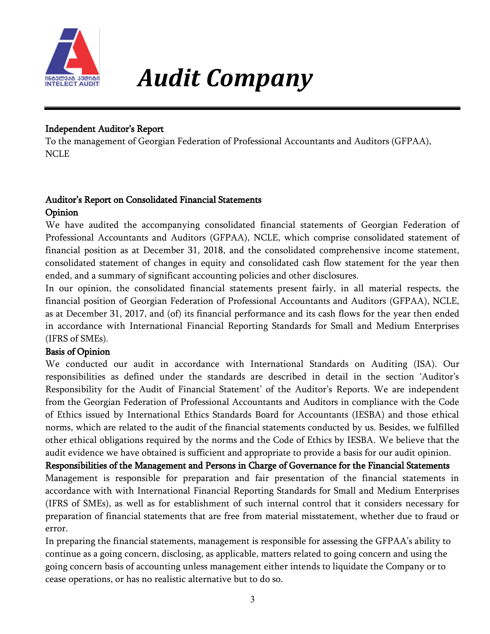

# *Audit Company*

### Independent Auditor's Report

To the management of Georgian Federation of Professional Accountants and Auditors (GFPAA), NCLE

#### Auditor's Report on Consolidated Financial Statements Opinion

We have audited the accompanying consolidated financial statements of Georgian Federation of Professional Accountants and Auditors (GFPAA), NCLE, which comprise consolidated statement of financial position as at December 31, 2018, and the consolidated comprehensive income statement, consolidated statement of changes in equity and consolidated cash flow statement for the year then ended, and a summary of significant accounting policies and other disclosures.

In our opinion, the consolidated financial statements present fairly, in all material respects, the financial position of Georgian Federation of Professional Accountants and Auditors (GFPAA), NCLE, as at December 31, 2017, and (of) its financial performance and its cash flows for the year then ended in accordance with International Financial Reporting Standards for Small and Medium Enterprises (IFRS of SMEs).

#### Basis of Opinion

We conducted our audit in accordance with International Standards on Auditing (ISA). Our responsibilities as defined under the standards are described in detail in the section 'Auditor's Responsibility for the Audit of Financial Statement' of the Auditor's Reports. We are independent from the Georgian Federation of Professional Accountants and Auditors in compliance with the Code of Ethics issued by International Ethics Standards Board for Accountants (IESBA) and those ethical norms, which are related to the audit of the financial statements conducted by us. Besides, we fulfilled other ethical obligations required by the norms and the Code of Ethics by IESBA. We believe that the audit evidence we have obtained is sufficient and appropriate to provide a basis for our audit opinion. Responsibilities of the Management and Persons in Charge of Governance for the Financial Statements

Management is responsible for preparation and fair presentation of the financial statements in accordance with with International Financial Reporting Standards for Small and Medium Enterprises (IFRS of SMEs), as well as for establishment of such internal control that it considers necessary for preparation of financial statements that are free from material misstatement, whether due to fraud or error.

In preparing the financial statements, management is responsible for assessing the GFPAA's ability to continue as a going concern, disclosing, as applicable, matters related to going concern and using the going concern basis of accounting unless management either intends to liquidate the Company or to cease operations, or has no realistic alternative but to do so.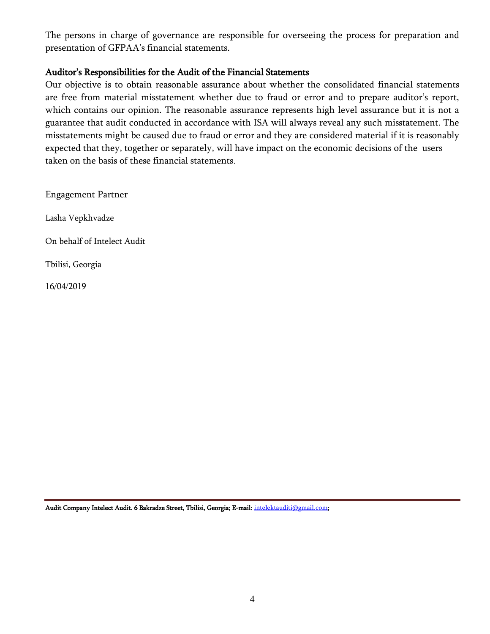The persons in charge of governance are responsible for overseeing the process for preparation and presentation of GFPAA's financial statements.

#### Auditor's Responsibilities for the Audit of the Financial Statements

Our objective is to obtain reasonable assurance about whether the consolidated financial statements are free from material misstatement whether due to fraud or error and to prepare auditor's report, which contains our opinion. The reasonable assurance represents high level assurance but it is not a guarantee that audit conducted in accordance with ISA will always reveal any such misstatement. The misstatements might be caused due to fraud or error and they are considered material if it is reasonably expected that they, together or separately, will have impact on the economic decisions of the users taken on the basis of these financial statements.

Engagement Partner

Lasha Vepkhvadze

On behalf of Intelect Audit

Tbilisi, Georgia

16/04/2019

Audit Company Intelect Audit. 6 Bakradze Street, Tbilisi, Georgia; E-mail: intelektauditi@gmail.com;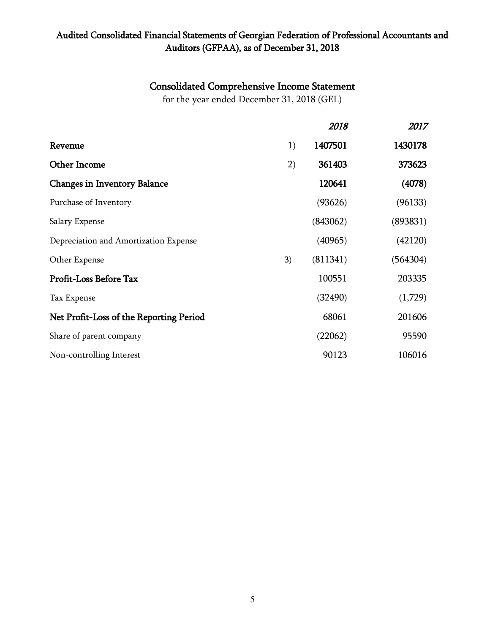### Audited Consolidated Financial Statements of Georgian Federation of Professional Accountants and Auditors (GFPAA), as of December 31, 2018

# Consolidated Comprehensive Income Statement

for the year ended December 31, 2018 (GEL)

|                                         |    | 2018     | 2017     |
|-----------------------------------------|----|----------|----------|
| Revenue                                 | 1) | 1407501  | 1430178  |
| <b>Other Income</b>                     | 2) | 361403   | 373623   |
| <b>Changes in Inventory Balance</b>     |    | 120641   | (4078)   |
| Purchase of Inventory                   |    | (93626)  | (96133)  |
| Salary Expense                          |    | (843062) | (893831) |
| Depreciation and Amortization Expense   |    | (40965)  | (42120)  |
| Other Expense                           | 3) | (811341) | (564304) |
| Profit-Loss Before Tax                  |    | 100551   | 203335   |
| Tax Expense                             |    | (32490)  | (1,729)  |
| Net Profit-Loss of the Reporting Period |    | 68061    | 201606   |
| Share of parent company                 |    | (22062)  | 95590    |
| Non-controlling Interest                |    | 90123    | 106016   |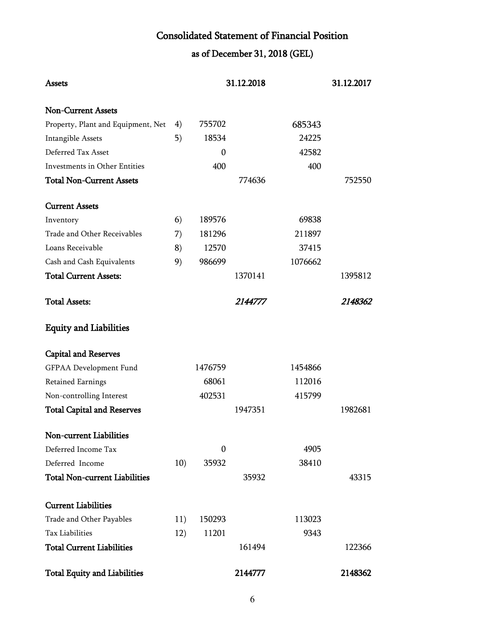# Consolidated Statement of Financial Position

as of December 31, 2018 (GEL)

| Assets                               |     |                  | 31.12.2018 |         | 31.12.2017 |
|--------------------------------------|-----|------------------|------------|---------|------------|
| <b>Non-Current Assets</b>            |     |                  |            |         |            |
| Property, Plant and Equipment, Net   | 4)  | 755702           |            | 685343  |            |
| <b>Intangible Assets</b>             | 5)  | 18534            |            | 24225   |            |
| Deferred Tax Asset                   |     | $\boldsymbol{0}$ |            | 42582   |            |
| Investments in Other Entities        |     | 400              |            | 400     |            |
| <b>Total Non-Current Assets</b>      |     |                  | 774636     |         | 752550     |
| <b>Current Assets</b>                |     |                  |            |         |            |
| Inventory                            | 6)  | 189576           |            | 69838   |            |
| Trade and Other Receivables          | 7)  | 181296           |            | 211897  |            |
| Loans Receivable                     | 8)  | 12570            |            | 37415   |            |
| Cash and Cash Equivalents            | 9)  | 986699           |            | 1076662 |            |
| <b>Total Current Assets:</b>         |     |                  | 1370141    |         | 1395812    |
| <b>Total Assets:</b>                 |     |                  | 2144777    |         | 2148362    |
| <b>Equity and Liabilities</b>        |     |                  |            |         |            |
| <b>Capital and Reserves</b>          |     |                  |            |         |            |
| GFPAA Development Fund               |     | 1476759          |            | 1454866 |            |
| Retained Earnings                    |     | 68061            |            | 112016  |            |
| Non-controlling Interest             |     | 402531           |            | 415799  |            |
| <b>Total Capital and Reserves</b>    |     |                  | 1947351    |         | 1982681    |
| Non-current Liabilities              |     |                  |            |         |            |
| Deferred Income Tax                  |     | 0                |            | 4905    |            |
| Deferred Income                      | 10) | 35932            |            | 38410   |            |
| <b>Total Non-current Liabilities</b> |     |                  | 35932      |         | 43315      |
| <b>Current Liabilities</b>           |     |                  |            |         |            |
| Trade and Other Payables             | 11) | 150293           |            | 113023  |            |
| <b>Tax Liabilities</b>               | 12) | 11201            |            | 9343    |            |
| <b>Total Current Liabilities</b>     |     |                  | 161494     |         | 122366     |
| <b>Total Equity and Liabilities</b>  |     |                  | 2144777    |         | 2148362    |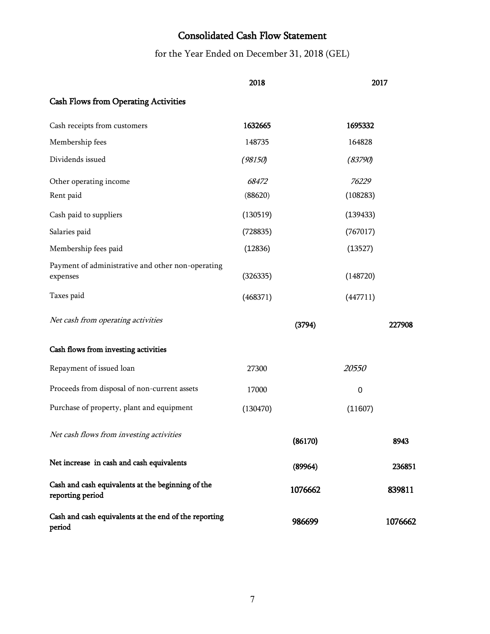# Consolidated Cash Flow Statement

for the Year Ended on December 31, 2018 (GEL)

|                                                                       | 2018     |          | 2017    |
|-----------------------------------------------------------------------|----------|----------|---------|
| <b>Cash Flows from Operating Activities</b>                           |          |          |         |
| Cash receipts from customers                                          | 1632665  | 1695332  |         |
| Membership fees                                                       | 148735   | 164828   |         |
| Dividends issued                                                      | (98150)  | (83790)  |         |
| Other operating income                                                | 68472    | 76229    |         |
| Rent paid                                                             | (88620)  | (108283) |         |
| Cash paid to suppliers                                                | (130519) | (139433) |         |
| Salaries paid                                                         | (728835) | (767017) |         |
| Membership fees paid                                                  | (12836)  | (13527)  |         |
| Payment of administrative and other non-operating<br>expenses         | (326335) | (148720) |         |
| Taxes paid                                                            | (468371) | (447711) |         |
| Net cash from operating activities                                    |          | (3794)   | 227908  |
| Cash flows from investing activities                                  |          |          |         |
| Repayment of issued loan                                              | 27300    | 20550    |         |
| Proceeds from disposal of non-current assets                          | 17000    | 0        |         |
| Purchase of property, plant and equipment                             | (130470) | (11607)  |         |
| Net cash flows from investing activities                              |          | (86170)  | 8943    |
| Net increase in cash and cash equivalents                             |          | (89964)  | 236851  |
| Cash and cash equivalents at the beginning of the<br>reporting period |          | 1076662  | 839811  |
| Cash and cash equivalents at the end of the reporting<br>period       |          | 986699   | 1076662 |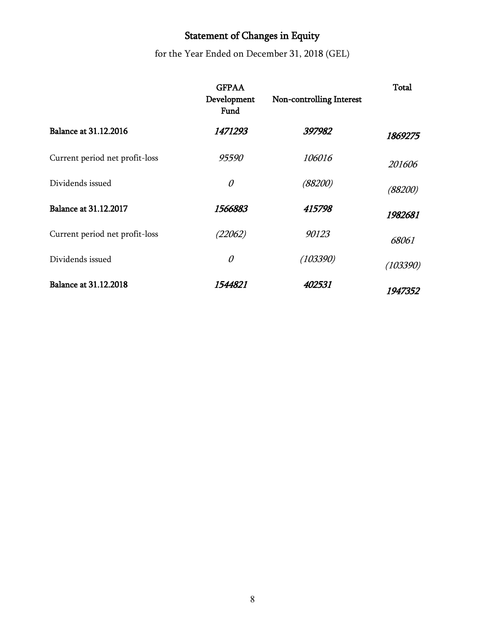# Statement of Changes in Equity

for the Year Ended on December 31, 2018 (GEL)

|                                | <b>GFPAA</b><br>Development<br>Fund | Non-controlling Interest | Total    |
|--------------------------------|-------------------------------------|--------------------------|----------|
| <b>Balance at 31.12.2016</b>   | <i>1471293</i>                      | 397982                   | 1869275  |
| Current period net profit-loss | 95590                               | 106016                   | 201606   |
| Dividends issued               | 0                                   | (88200)                  | (88200)  |
| <b>Balance at 31.12.2017</b>   | 1566883                             | 415798                   | 1982681  |
| Current period net profit-loss | (22062)                             | 90123                    | 68061    |
| Dividends issued               | 0                                   | (103390)                 | (103390) |
| <b>Balance at 31.12.2018</b>   | 1544821                             | 402531                   | 1947352  |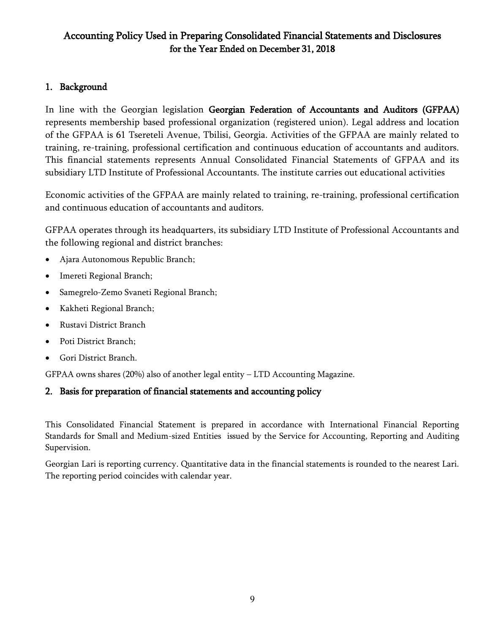### Accounting Policy Used in Preparing Consolidated Financial Statements and Disclosures for the Year Ended on December 31, 2018

#### 1. Background

In line with the Georgian legislation Georgian Federation of Accountants and Auditors (GFPAA) represents membership based professional organization (registered union). Legal address and location of the GFPAA is 61 Tsereteli Avenue, Tbilisi, Georgia. Activities of the GFPAA are mainly related to training, re-training, professional certification and continuous education of accountants and auditors. This financial statements represents Annual Consolidated Financial Statements of GFPAA and its subsidiary LTD Institute of Professional Accountants. The institute carries out educational activities

Economic activities of the GFPAA are mainly related to training, re-training, professional certification and continuous education of accountants and auditors.

GFPAA operates through its headquarters, its subsidiary LTD Institute of Professional Accountants and the following regional and district branches:

- Ajara Autonomous Republic Branch;
- Imereti Regional Branch;
- Samegrelo-Zemo Svaneti Regional Branch;
- Kakheti Regional Branch;
- Rustavi District Branch
- Poti District Branch;
- Gori District Branch.

GFPAA owns shares (20%) also of another legal entity – LTD Accounting Magazine.

#### 2. Basis for preparation of financial statements and accounting policy

This Consolidated Financial Statement is prepared in accordance with International Financial Reporting Standards for Small and Medium-sized Entities issued by the Service for Accounting, Reporting and Auditing Supervision.

Georgian Lari is reporting currency. Quantitative data in the financial statements is rounded to the nearest Lari. The reporting period coincides with calendar year.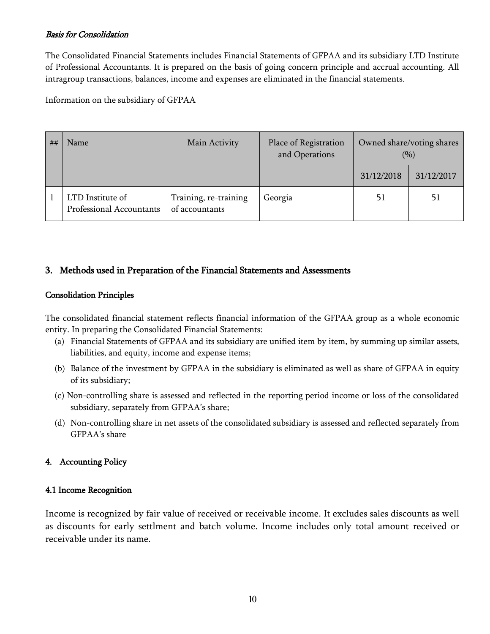#### Basis for Consolidation

The Consolidated Financial Statements includes Financial Statements of GFPAA and its subsidiary LTD Institute of Professional Accountants. It is prepared on the basis of going concern principle and accrual accounting. All intragroup transactions, balances, income and expenses are eliminated in the financial statements.

Information on the subsidiary of GFPAA

| ## | Name                                         | Main Activity                           | Place of Registration<br>and Operations | Owned share/voting shares<br>(9/0) |            |
|----|----------------------------------------------|-----------------------------------------|-----------------------------------------|------------------------------------|------------|
|    |                                              |                                         |                                         | 31/12/2018                         | 31/12/2017 |
|    | LTD Institute of<br>Professional Accountants | Training, re-training<br>of accountants | Georgia                                 | 51                                 | 51         |

### 3. Methods used in Preparation of the Financial Statements and Assessments

#### Consolidation Principles

The consolidated financial statement reflects financial information of the GFPAA group as a whole economic entity. In preparing the Consolidated Financial Statements:

- (a) Financial Statements of GFPAA and its subsidiary are unified item by item, by summing up similar assets, liabilities, and equity, income and expense items;
- (b) Balance of the investment by GFPAA in the subsidiary is eliminated as well as share of GFPAA in equity of its subsidiary;
- (c) Non-controlling share is assessed and reflected in the reporting period income or loss of the consolidated subsidiary, separately from GFPAA's share;
- (d) Non-controlling share in net assets of the consolidated subsidiary is assessed and reflected separately from GFPAA's share

#### 4. Accounting Policy

#### 4.1 Income Recognition

Income is recognized by fair value of received or receivable income. It excludes sales discounts as well as discounts for early settlment and batch volume. Income includes only total amount received or receivable under its name.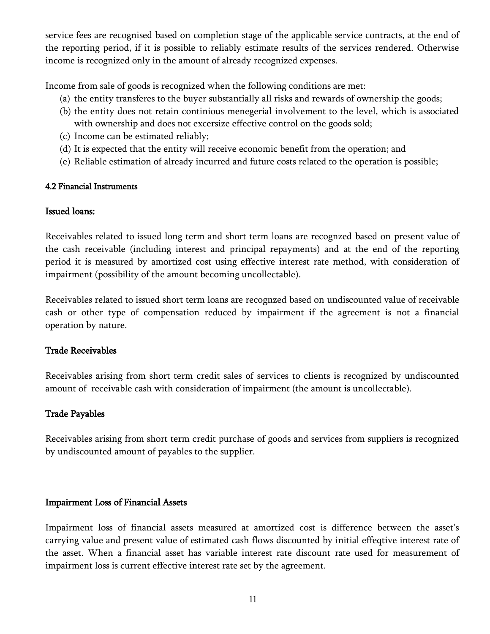service fees are recognised based on completion stage of the applicable service contracts, at the end of the reporting period, if it is possible to reliably estimate results of the services rendered. Otherwise income is recognized only in the amount of already recognized expenses.

Income from sale of goods is recognized when the following conditions are met:

- (a) the entity transferes to the buyer substantially all risks and rewards of ownership the goods;
- (b) the entity does not retain continious menegerial involvement to the level, which is associated with ownership and does not excersize effective control on the goods sold;
- (c) Income can be estimated reliably;
- (d) It is expected that the entity will receive economic benefit from the operation; and
- (e) Reliable estimation of already incurred and future costs related to the operation is possible;

#### 4.2 Financial Instruments

#### Issued loans:

Receivables related to issued long term and short term loans are recognzed based on present value of the cash receivable (including interest and principal repayments) and at the end of the reporting period it is measured by amortized cost using effective interest rate method, with consideration of impairment (possibility of the amount becoming uncollectable).

Receivables related to issued short term loans are recognzed based on undiscounted value of receivable cash or other type of compensation reduced by impairment if the agreement is not a financial operation by nature.

### Trade Receivables

Receivables arising from short term credit sales of services to clients is recognized by undiscounted amount of receivable cash with consideration of impairment (the amount is uncollectable).

### Trade Payables

Receivables arising from short term credit purchase of goods and services from suppliers is recognized by undiscounted amount of payables to the supplier.

### Impairment Loss of Financial Assets

Impairment loss of financial assets measured at amortized cost is difference between the asset's carrying value and present value of estimated cash flows discounted by initial effeqtive interest rate of the asset. When a financial asset has variable interest rate discount rate used for measurement of impairment loss is current effective interest rate set by the agreement.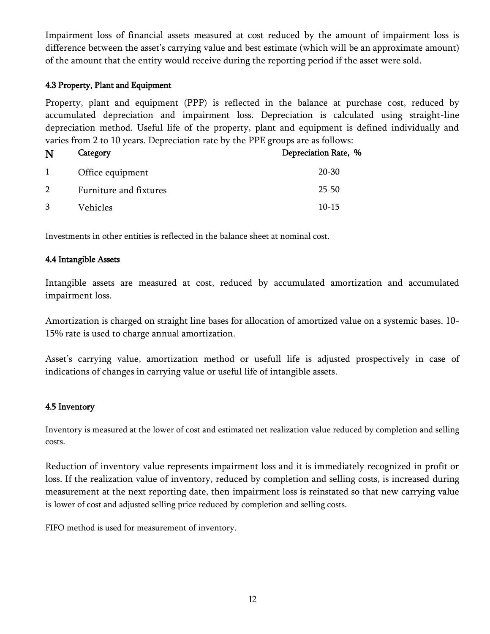Impairment loss of financial assets measured at cost reduced by the amount of impairment loss is difference between the asset's carrying value and best estimate (which will be an approximate amount) of the amount that the entity would receive during the reporting period if the asset were sold.

#### 4.3 Property, Plant and Equipment

Property, plant and equipment (PPP) is reflected in the balance at purchase cost, reduced by accumulated depreciation and impairment loss. Depreciation is calculated using straight-line depreciation method. Useful life of the property, plant and equipment is defined individually and varies from 2 to 10 years. Depreciation rate by the PPE groups are as follows:

| N              | Category               | Depreciation Rate, % |
|----------------|------------------------|----------------------|
| $\mathbf{1}$   | Office equipment       | $20 - 30$            |
| $\overline{2}$ | Furniture and fixtures | $25 - 50$            |
| 3              | Vehicles               | $10-15$              |

Investments in other entities is reflected in the balance sheet at nominal cost.

#### 4.4 Intangible Assets

Intangible assets are measured at cost, reduced by accumulated amortization and accumulated impairment loss.

Amortization is charged on straight line bases for allocation of amortized value on a systemic bases. 10- 15% rate is used to charge annual amortization.

Asset's carrying value, amortization method or usefull life is adjusted prospectively in case of indications of changes in carrying value or useful life of intangible assets.

#### 4.5 Inventory

Inventory is measured at the lower of cost and estimated net realization value reduced by completion and selling costs.

Reduction of inventory value represents impairment loss and it is immediately recognized in profit or loss. If the realization value of inventory, reduced by completion and selling costs, is increased during measurement at the next reporting date, then impairment loss is reinstated so that new carrying value is lower of cost and adjusted selling price reduced by completion and selling costs.

FIFO method is used for measurement of inventory.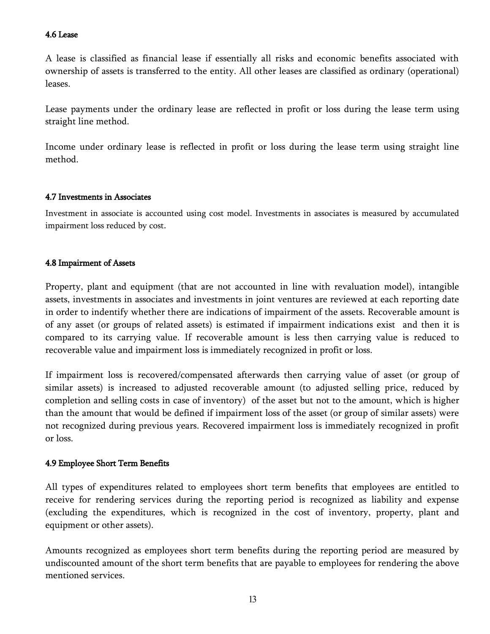#### 4.6 Lease

A lease is classified as financial lease if essentially all risks and economic benefits associated with ownership of assets is transferred to the entity. All other leases are classified as ordinary (operational) leases.

Lease payments under the ordinary lease are reflected in profit or loss during the lease term using straight line method.

Income under ordinary lease is reflected in profit or loss during the lease term using straight line method.

#### 4.7 Investments in Associates

Investment in associate is accounted using cost model. Investments in associates is measured by accumulated impairment loss reduced by cost.

#### 4.8 Impairment of Assets

Property, plant and equipment (that are not accounted in line with revaluation model), intangible assets, investments in associates and investments in joint ventures are reviewed at each reporting date in order to indentify whether there are indications of impairment of the assets. Recoverable amount is of any asset (or groups of related assets) is estimated if impairment indications exist and then it is compared to its carrying value. If recoverable amount is less then carrying value is reduced to recoverable value and impairment loss is immediately recognized in profit or loss.

If impairment loss is recovered/compensated afterwards then carrying value of asset (or group of similar assets) is increased to adjusted recoverable amount (to adjusted selling price, reduced by completion and selling costs in case of inventory) of the asset but not to the amount, which is higher than the amount that would be defined if impairment loss of the asset (or group of similar assets) were not recognized during previous years. Recovered impairment loss is immediately recognized in profit or loss.

#### 4.9 Employee Short Term Benefits

All types of expenditures related to employees short term benefits that employees are entitled to receive for rendering services during the reporting period is recognized as liability and expense (excluding the expenditures, which is recognized in the cost of inventory, property, plant and equipment or other assets).

Amounts recognized as employees short term benefits during the reporting period are measured by undiscounted amount of the short term benefits that are payable to employees for rendering the above mentioned services.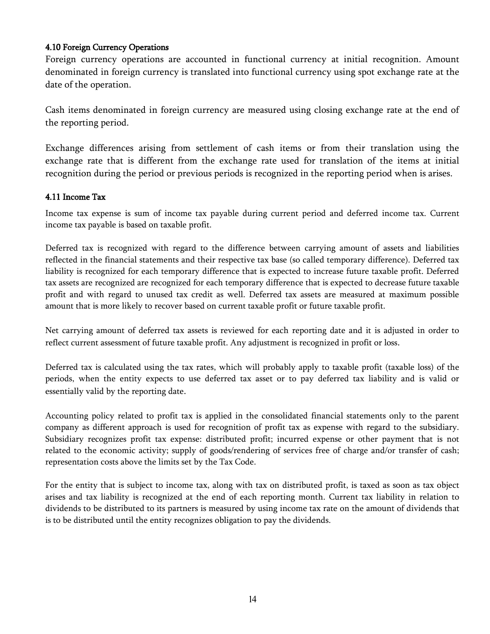#### 4.10 Foreign Currency Operations

Foreign currency operations are accounted in functional currency at initial recognition. Amount denominated in foreign currency is translated into functional currency using spot exchange rate at the date of the operation.

Cash items denominated in foreign currency are measured using closing exchange rate at the end of the reporting period.

Exchange differences arising from settlement of cash items or from their translation using the exchange rate that is different from the exchange rate used for translation of the items at initial recognition during the period or previous periods is recognized in the reporting period when is arises.

#### 4.11 Income Tax

Income tax expense is sum of income tax payable during current period and deferred income tax. Current income tax payable is based on taxable profit.

Deferred tax is recognized with regard to the difference between carrying amount of assets and liabilities reflected in the financial statements and their respective tax base (so called temporary difference). Deferred tax liability is recognized for each temporary difference that is expected to increase future taxable profit. Deferred tax assets are recognized are recognized for each temporary difference that is expected to decrease future taxable profit and with regard to unused tax credit as well. Deferred tax assets are measured at maximum possible amount that is more likely to recover based on current taxable profit or future taxable profit.

Net carrying amount of deferred tax assets is reviewed for each reporting date and it is adjusted in order to reflect current assessment of future taxable profit. Any adjustment is recognized in profit or loss.

Deferred tax is calculated using the tax rates, which will probably apply to taxable profit (taxable loss) of the periods, when the entity expects to use deferred tax asset or to pay deferred tax liability and is valid or essentially valid by the reporting date.

Accounting policy related to profit tax is applied in the consolidated financial statements only to the parent company as different approach is used for recognition of profit tax as expense with regard to the subsidiary. Subsidiary recognizes profit tax expense: distributed profit; incurred expense or other payment that is not related to the economic activity; supply of goods/rendering of services free of charge and/or transfer of cash; representation costs above the limits set by the Tax Code.

For the entity that is subject to income tax, along with tax on distributed profit, is taxed as soon as tax object arises and tax liability is recognized at the end of each reporting month. Current tax liability in relation to dividends to be distributed to its partners is measured by using income tax rate on the amount of dividends that is to be distributed until the entity recognizes obligation to pay the dividends.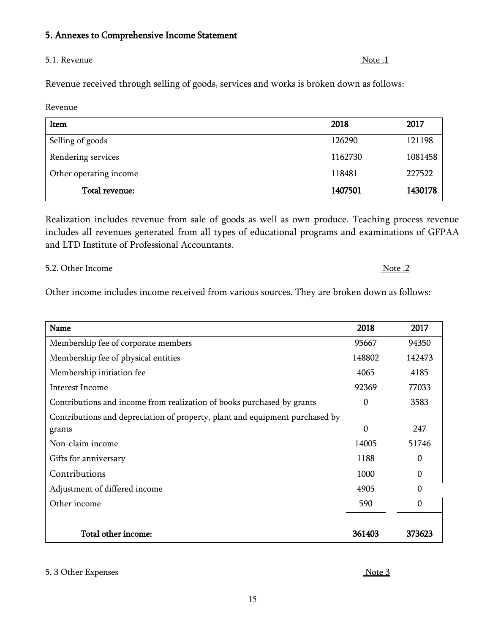#### 5. Annexes to Comprehensive Income Statement

#### 5.1. Revenue Note 1

Revenue received through selling of goods, services and works is broken down as follows:

Revenue

| Item                   | 2018    | 2017    |
|------------------------|---------|---------|
| Selling of goods       | 126290  | 121198  |
| Rendering services     | 1162730 | 1081458 |
| Other operating income | 118481  | 227522  |
| Total revenue:         | 1407501 | 1430178 |

Realization includes revenue from sale of goods as well as own produce. Teaching process revenue includes all revenues generated from all types of educational programs and examinations of GFPAA and LTD Institute of Professional Accountants.

5.2. Other Income Note .2

Other income includes income received from various sources. They are broken down as follows:

| Name                                                                         | 2018             | 2017     |
|------------------------------------------------------------------------------|------------------|----------|
| Membership fee of corporate members                                          | 95667            | 94350    |
| Membership fee of physical entities                                          | 148802           | 142473   |
| Membership initiation fee                                                    | 4065             | 4185     |
| <b>Interest Income</b>                                                       | 92369            | 77033    |
| Contributions and income from realization of books purchased by grants       | $\boldsymbol{0}$ | 3583     |
| Contributions and depreciation of property, plant and equipment purchased by |                  |          |
| grants                                                                       | 0                | 247      |
| Non-claim income                                                             | 14005            | 51746    |
| Gifts for anniversary                                                        | 1188             | 0        |
| Contributions                                                                | 1000             | 0        |
| Adjustment of differed income                                                | 4905             | 0        |
| Other income                                                                 | 590              | $\theta$ |
|                                                                              |                  |          |
| Total other income:                                                          | 361403           | 373623   |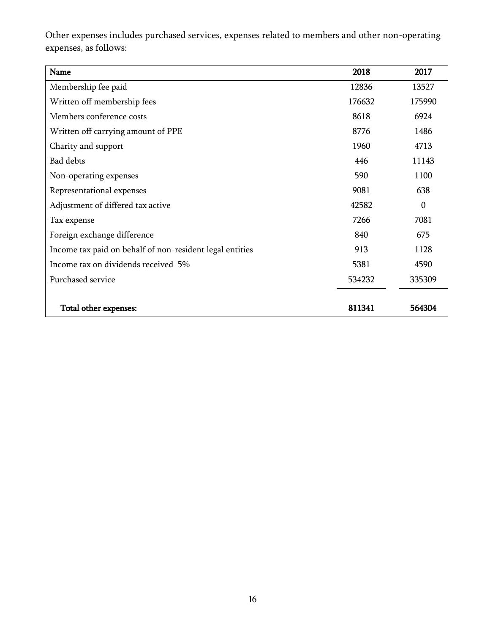Other expenses includes purchased services, expenses related to members and other non-operating expenses, as follows:

| Name                                                     | 2018   | 2017     |
|----------------------------------------------------------|--------|----------|
| Membership fee paid                                      | 12836  | 13527    |
| Written off membership fees                              | 176632 | 175990   |
| Members conference costs                                 | 8618   | 6924     |
| Written off carrying amount of PPE                       | 8776   | 1486     |
| Charity and support                                      | 1960   | 4713     |
| <b>Bad debts</b>                                         | 446    | 11143    |
| Non-operating expenses                                   | 590    | 1100     |
| Representational expenses                                | 9081   | 638      |
| Adjustment of differed tax active                        | 42582  | $\theta$ |
| Tax expense                                              | 7266   | 7081     |
| Foreign exchange difference                              | 840    | 675      |
| Income tax paid on behalf of non-resident legal entities | 913    | 1128     |
| Income tax on dividends received 5%                      | 5381   | 4590     |
| Purchased service                                        | 534232 | 335309   |
| Total other expenses:                                    | 811341 | 564304   |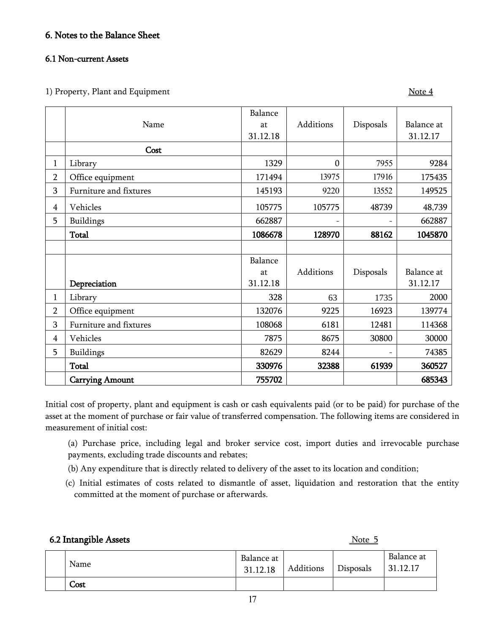#### 6. Notes to the Balance Sheet

#### 6.1 Non-current Assets

1) Property, Plant and Equipment Note 4

|                |                        | Balance  |              |           |            |
|----------------|------------------------|----------|--------------|-----------|------------|
|                | Name                   | at       | Additions    | Disposals | Balance at |
|                |                        | 31.12.18 |              |           | 31.12.17   |
|                | Cost                   |          |              |           |            |
| 1              | Library                | 1329     | $\mathbf{0}$ | 7955      | 9284       |
| $\overline{2}$ | Office equipment       | 171494   | 13975        | 17916     | 175435     |
| 3              | Furniture and fixtures | 145193   | 9220         | 13552     | 149525     |
| $\overline{4}$ | Vehicles               | 105775   | 105775       | 48739     | 48,739     |
| 5              | <b>Buildings</b>       | 662887   |              |           | 662887     |
|                | <b>Total</b>           | 1086678  | 128970       | 88162     | 1045870    |
|                |                        |          |              |           |            |
|                |                        | Balance  |              |           |            |
|                |                        | at       | Additions    | Disposals | Balance at |
|                | Depreciation           | 31.12.18 |              |           | 31.12.17   |
| 1              | Library                | 328      | 63           | 1735      | 2000       |
| $\overline{2}$ | Office equipment       | 132076   | 9225         | 16923     | 139774     |
| 3              | Furniture and fixtures | 108068   | 6181         | 12481     | 114368     |
| $\overline{4}$ | Vehicles               | 7875     | 8675         | 30800     | 30000      |
| 5              | Buildings              | 82629    | 8244         |           | 74385      |
|                | <b>Total</b>           | 330976   | 32388        | 61939     | 360527     |
|                | <b>Carrying Amount</b> | 755702   |              |           | 685343     |

Initial cost of property, plant and equipment is cash or cash equivalents paid (or to be paid) for purchase of the asset at the moment of purchase or fair value of transferred compensation. The following items are considered in measurement of initial cost:

(a) Purchase price, including legal and broker service cost, import duties and irrevocable purchase payments, excluding trade discounts and rebates;

- (b) Any expenditure that is directly related to delivery of the asset to its location and condition;
- (c) Initial estimates of costs related to dismantle of asset, liquidation and restoration that the entity committed at the moment of purchase or afterwards.

#### 6.2 Intangible Assets Note 5

| Name | Balance at<br>31.12.18 | Additions | Disposals | Balance at<br>31.12.17 |
|------|------------------------|-----------|-----------|------------------------|
| Cost |                        |           |           |                        |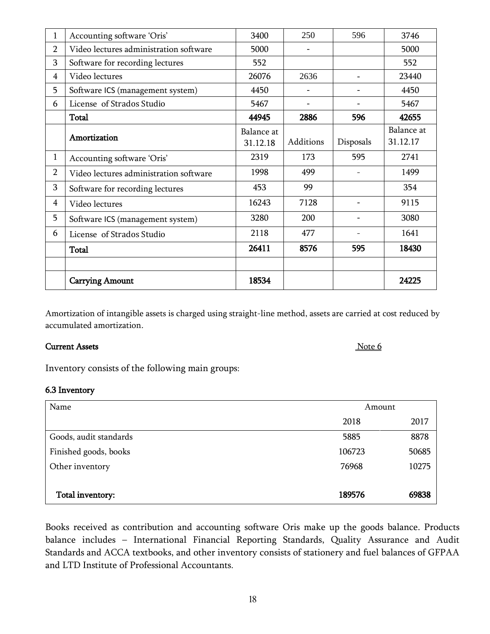| 1              | Accounting software 'Oris'             | 3400       | 250                      | 596                      | 3746       |
|----------------|----------------------------------------|------------|--------------------------|--------------------------|------------|
| $\overline{2}$ | Video lectures administration software | 5000       |                          |                          | 5000       |
| 3              | Software for recording lectures        | 552        |                          |                          | 552        |
| $\overline{4}$ | Video lectures                         | 26076      | 2636                     |                          | 23440      |
| 5              | Software ICS (management system)       | 4450       | $\overline{\phantom{a}}$ |                          | 4450       |
| 6              | License of Strados Studio              | 5467       | $\overline{\phantom{a}}$ |                          | 5467       |
|                | <b>Total</b>                           | 44945      | 2886                     | 596                      | 42655      |
|                |                                        | Balance at |                          |                          | Balance at |
|                | Amortization                           | 31.12.18   | Additions                | Disposals                | 31.12.17   |
| 1              | Accounting software 'Oris'             | 2319       | 173                      | 595                      | 2741       |
| $\overline{2}$ | Video lectures administration software | 1998       | 499                      |                          | 1499       |
| 3              | Software for recording lectures        | 453        | 99                       |                          | 354        |
| 4              | Video lectures                         | 16243      | 7128                     |                          | 9115       |
| 5              | Software ICS (management system)       | 3280       | 200                      |                          | 3080       |
| 6              | License of Strados Studio              | 2118       | 477                      | $\overline{\phantom{0}}$ | 1641       |
|                | <b>Total</b>                           | 26411      | 8576                     | 595                      | 18430      |
|                |                                        |            |                          |                          |            |
|                | <b>Carrying Amount</b>                 | 18534      |                          |                          | 24225      |

Amortization of intangible assets is charged using straight-line method, assets are carried at cost reduced by accumulated amortization.

#### **Current Assets** Note 6

Inventory consists of the following main groups:

#### 6.3 Inventory

| Amount |        |
|--------|--------|
| 2018   | 2017   |
| 5885   | 8878   |
| 106723 | 50685  |
| 76968  | 10275  |
|        |        |
|        | 69838  |
|        | 189576 |

Books received as contribution and accounting software Oris make up the goods balance. Products balance includes – International Financial Reporting Standards, Quality Assurance and Audit Standards and ACCA textbooks, and other inventory consists of stationery and fuel balances of GFPAA and LTD Institute of Professional Accountants.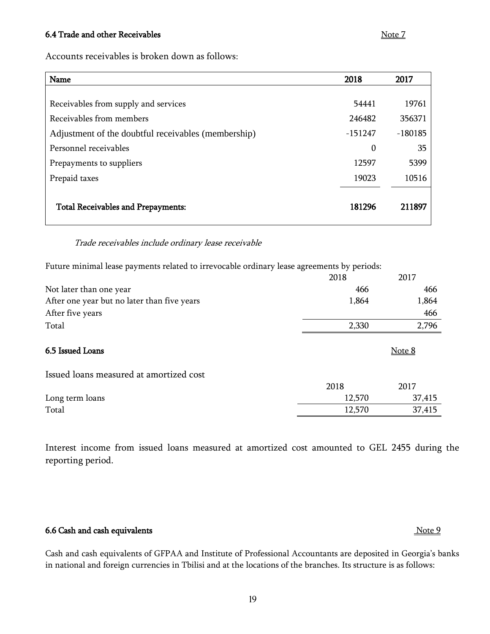#### 6.4 Trade and other Receivables Note 7

Accounts receivables is broken down as follows:

| Name                                                | 2018      | 2017      |
|-----------------------------------------------------|-----------|-----------|
|                                                     |           |           |
| Receivables from supply and services                | 54441     | 19761     |
| Receivables from members                            | 246482    | 356371    |
| Adjustment of the doubtful receivables (membership) | $-151247$ | $-180185$ |
| Personnel receivables                               | 0         | 35        |
| Prepayments to suppliers                            | 12597     | 5399      |
| Prepaid taxes                                       | 19023     | 10516     |
| <b>Total Receivables and Prepayments:</b>           | 181296    | 211897    |

#### Trade receivables include ordinary lease receivable

Future minimal lease payments related to irrevocable ordinary lease agreements by periods:

|                                             | 2018   | 2017   |
|---------------------------------------------|--------|--------|
| Not later than one year                     | 466    | 466    |
| After one year but no later than five years | 1,864  | 1,864  |
| After five years                            |        | 466    |
| Total                                       | 2,330  | 2,796  |
| 6.5 Issued Loans                            |        | Note 8 |
| Issued loans measured at amortized cost     |        |        |
|                                             | 2018   | 2017   |
| Long term loans                             | 12,570 | 37,415 |
| Total                                       | 12,570 | 37,415 |

Interest income from issued loans measured at amortized cost amounted to GEL 2455 during the reporting period.

#### 6.6 Cash and cash equivalents Note 9

Cash and cash equivalents of GFPAA and Institute of Professional Accountants are deposited in Georgia's banks in national and foreign currencies in Tbilisi and at the locations of the branches. Its structure is as follows: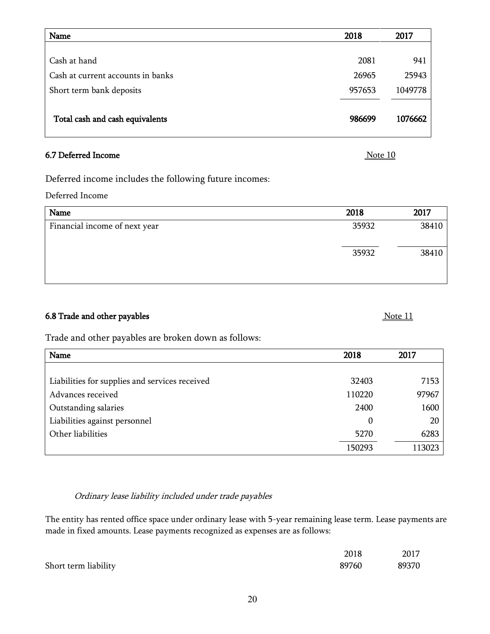| Name                              | 2018   | 2017    |
|-----------------------------------|--------|---------|
|                                   |        |         |
| Cash at hand                      | 2081   | 941     |
| Cash at current accounts in banks | 26965  | 25943   |
| Short term bank deposits          | 957653 | 1049778 |
|                                   |        |         |
| Total cash and cash equivalents   | 986699 | 1076662 |
|                                   |        |         |

#### 6.7 Deferred Income Note 10

Deferred income includes the following future incomes:

Deferred Income

| Name                          | 2018  | 2017  |
|-------------------------------|-------|-------|
| Financial income of next year | 35932 | 38410 |
|                               | 35932 | 38410 |

#### 6.8 Trade and other payables  $\frac{\text{Note 11}}{\text{1}}$

Trade and other payables are broken down as follows:

| Name                                           | 2018   | 2017   |
|------------------------------------------------|--------|--------|
|                                                |        |        |
| Liabilities for supplies and services received | 32403  | 7153   |
| Advances received                              | 110220 | 97967  |
| Outstanding salaries                           | 2400   | 1600   |
| Liabilities against personnel                  | 0      | 20     |
| Other liabilities                              | 5270   | 6283   |
|                                                | 150293 | 113023 |

#### Ordinary lease liability included under trade payables

The entity has rented office space under ordinary lease with 5-year remaining lease term. Lease payments are made in fixed amounts. Lease payments recognized as expenses are as follows:

|                      | 2018  | 2017  |
|----------------------|-------|-------|
| Short term liability | 89760 | 89370 |